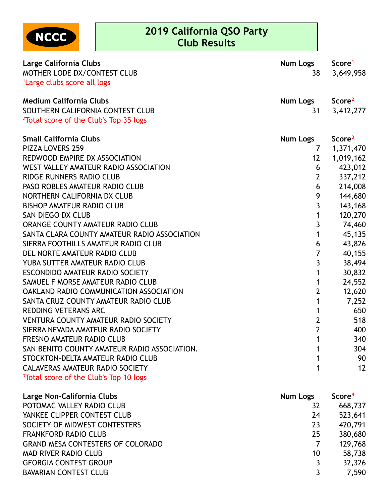

## **2019 California QSO Party Club Results**

| Large California Clubs<br>MOTHER LODE DX/CONTEST CLUB<br><sup>1</sup> Large clubs score all logs                         | Num Logs<br>38                    | Score <sup>1</sup><br>3,649,958 |
|--------------------------------------------------------------------------------------------------------------------------|-----------------------------------|---------------------------------|
| <b>Medium California Clubs</b><br>SOUTHERN CALIFORNIA CONTEST CLUB<br><sup>2</sup> Total score of the Club's Top 35 logs | <b>Num Logs</b><br>31             | Score <sup>2</sup><br>3,412,277 |
| <b>Small California Clubs</b><br><b>PIZZA LOVERS 259</b>                                                                 | <b>Num Logs</b><br>$\overline{7}$ | Score <sup>3</sup>              |
| REDWOOD EMPIRE DX ASSOCIATION                                                                                            | 12                                | 1,371,470<br>1,019,162          |
| WEST VALLEY AMATEUR RADIO ASSOCIATION                                                                                    | 6                                 | 423,012                         |
| RIDGE RUNNERS RADIO CLUB                                                                                                 | $\overline{2}$                    | 337,212                         |
| PASO ROBLES AMATEUR RADIO CLUB                                                                                           | 6                                 | 214,008                         |
| NORTHERN CALIFORNIA DX CLUB                                                                                              | 9                                 | 144,680                         |
| <b>BISHOP AMATEUR RADIO CLUB</b>                                                                                         | 3                                 | 143,168                         |
| SAN DIEGO DX CLUB                                                                                                        | $\mathbf{1}$                      | 120,270                         |
| ORANGE COUNTY AMATEUR RADIO CLUB                                                                                         | $\overline{3}$                    | 74,460                          |
| SANTA CLARA COUNTY AMATEUR RADIO ASSOCIATION                                                                             | $\mathbf{1}$                      | 45,135                          |
| SIERRA FOOTHILLS AMATEUR RADIO CLUB                                                                                      | 6                                 | 43,826                          |
| DEL NORTE AMATEUR RADIO CLUB                                                                                             | $\overline{7}$                    | 40,155                          |
| YUBA SUTTER AMATEUR RADIO CLUB                                                                                           | $\mathbf{3}$                      | 38,494                          |
| ESCONDIDO AMATEUR RADIO SOCIETY                                                                                          | $\mathbf{1}$                      | 30,832                          |
| SAMUEL F MORSE AMATEUR RADIO CLUB                                                                                        | $\mathbf{1}$                      | 24,552                          |
| OAKLAND RADIO COMMUNICATION ASSOCIATION                                                                                  | $\overline{2}$                    | 12,620                          |
| SANTA CRUZ COUNTY AMATEUR RADIO CLUB                                                                                     | $\mathbf{1}$                      | 7,252                           |
| <b>REDDING VETERANS ARC</b>                                                                                              | $\mathbf{1}$                      | 650                             |
| <b>VENTURA COUNTY AMATEUR RADIO SOCIETY</b>                                                                              | $\overline{2}$                    | 518                             |
| SIERRA NEVADA AMATEUR RADIO SOCIETY                                                                                      | $\overline{2}$                    | 400                             |
| FRESNO AMATEUR RADIO CLUB                                                                                                | $\mathbf{1}$                      | 340                             |
| SAN BENITO COUNTY AMATEUR RADIO ASSOCIATION.                                                                             | $\mathbf 1$                       | 304                             |
| STOCKTON-DELTA AMATEUR RADIO CLUB                                                                                        | $\mathbf 1$                       | 90                              |
| CALAVERAS AMATEUR RADIO SOCIETY<br><sup>3</sup> Total score of the Club's Top 10 logs                                    | 1                                 | 12                              |

| Large Non-California Clubs               | <b>Num Logs</b> | Score <sup>4</sup> |
|------------------------------------------|-----------------|--------------------|
| POTOMAC VALLEY RADIO CLUB                | 32              | 668,737            |
| YANKEE CLIPPER CONTEST CLUB              | 24              | 523,641            |
| SOCIETY OF MIDWEST CONTESTERS            | 23              | 420,791            |
| <b>FRANKFORD RADIO CLUB</b>              | 25              | 380,680            |
| <b>GRAND MESA CONTESTERS OF COLORADO</b> |                 | 129,768            |
| <b>MAD RIVER RADIO CLUB</b>              | 10              | 58,738             |
| <b>GEORGIA CONTEST GROUP</b>             | 3               | 32,326             |
| <b>BAVARIAN CONTEST CLUB</b>             | 3               | 7,590              |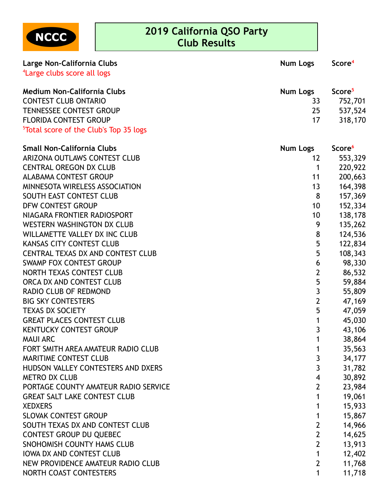

## **2019 California QSO Party Club Results**

| Large Non-California Clubs                         | <b>Num Logs</b>         | Score <sup>4</sup> |
|----------------------------------------------------|-------------------------|--------------------|
| <sup>4</sup> Large clubs score all logs            |                         |                    |
|                                                    |                         |                    |
| <b>Medium Non-California Clubs</b>                 | <b>Num Logs</b>         | Score <sup>5</sup> |
| <b>CONTEST CLUB ONTARIO</b>                        | 33                      | 752,701            |
| <b>TENNESSEE CONTEST GROUP</b>                     | 25                      | 537,524            |
| <b>FLORIDA CONTEST GROUP</b>                       | 17                      | 318,170            |
| <sup>5</sup> Total score of the Club's Top 35 logs |                         |                    |
| <b>Small Non-California Clubs</b>                  | <b>Num Logs</b>         | Score <sup>6</sup> |
| ARIZONA OUTLAWS CONTEST CLUB                       | $12 \overline{ }$       | 553,329            |
| <b>CENTRAL OREGON DX CLUB</b>                      | 1                       | 220,922            |
| <b>ALABAMA CONTEST GROUP</b>                       | 11                      | 200,663            |
| MINNESOTA WIRELESS ASSOCIATION                     | 13                      | 164,398            |
| SOUTH EAST CONTEST CLUB                            | 8                       | 157,369            |
| <b>DFW CONTEST GROUP</b>                           | 10                      | 152,334            |
| NIAGARA FRONTIER RADIOSPORT                        | 10                      | 138,178            |
| <b>WESTERN WASHINGTON DX CLUB</b>                  | 9                       | 135,262            |
| WILLAMETTE VALLEY DX INC CLUB                      | 8                       | 124,536            |
| <b>KANSAS CITY CONTEST CLUB</b>                    | 5                       | 122,834            |
| <b>CENTRAL TEXAS DX AND CONTEST CLUB</b>           | 5                       | 108,343            |
| <b>SWAMP FOX CONTEST GROUP</b>                     | 6                       | 98,330             |
| NORTH TEXAS CONTEST CLUB                           | $\overline{2}$          | 86,532             |
| ORCA DX AND CONTEST CLUB                           | 5                       | 59,884             |
| RADIO CLUB OF REDMOND                              | $\overline{\mathbf{3}}$ | 55,809             |
| <b>BIG SKY CONTESTERS</b>                          | $\overline{2}$          | 47,169             |
| <b>TEXAS DX SOCIETY</b>                            | 5                       | 47,059             |
| <b>GREAT PLACES CONTEST CLUB</b>                   | 1                       | 45,030             |
| <b>KENTUCKY CONTEST GROUP</b>                      | 3                       | 43,106             |
| <b>MAUI ARC</b>                                    | 1                       | 38,864             |
| FORT SMITH AREA AMATEUR RADIO CLUB                 | 1                       | 35,563             |
| <b>MARITIME CONTEST CLUB</b>                       | 3                       | 34,177             |
| HUDSON VALLEY CONTESTERS AND DXERS                 | $\overline{3}$          | 31,782             |
| <b>METRO DX CLUB</b>                               | $\overline{\mathbf{4}}$ | 30,892             |
| PORTAGE COUNTY AMATEUR RADIO SERVICE               | $\overline{2}$          | 23,984             |
| <b>GREAT SALT LAKE CONTEST CLUB</b>                | 1                       | 19,061             |
| <b>XEDXERS</b>                                     | 1                       | 15,933             |
| <b>SLOVAK CONTEST GROUP</b>                        | 1                       | 15,867             |
| SOUTH TEXAS DX AND CONTEST CLUB                    | $\overline{2}$          | 14,966             |
| <b>CONTEST GROUP DU QUEBEC</b>                     | $\overline{2}$          | 14,625             |
| SNOHOMISH COUNTY HAMS CLUB                         | $\overline{2}$          | 13,913             |
| <b>IOWA DX AND CONTEST CLUB</b>                    | $\mathbf{1}$            | 12,402             |
| NEW PROVIDENCE AMATEUR RADIO CLUB                  | $\overline{2}$          | 11,768             |
| NORTH COAST CONTESTERS                             | 1                       | 11,718             |